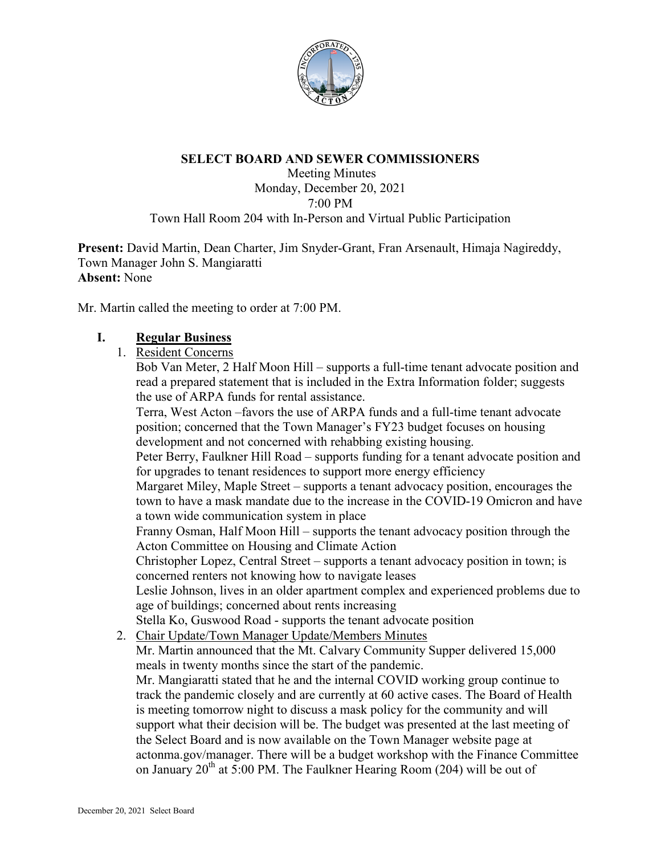

#### **SELECT BOARD AND SEWER COMMISSIONERS**

Meeting Minutes Monday, December 20, 2021 7:00 PM Town Hall Room 204 with In-Person and Virtual Public Participation

**Present:** David Martin, Dean Charter, Jim Snyder-Grant, Fran Arsenault, Himaja Nagireddy, Town Manager John S. Mangiaratti **Absent:** None

Mr. Martin called the meeting to order at 7:00 PM.

#### **I. Regular Business**

1. Resident Concerns

Bob Van Meter, 2 Half Moon Hill – supports a full-time tenant advocate position and read a prepared statement that is included in the Extra Information folder; suggests the use of ARPA funds for rental assistance.

Terra, West Acton –favors the use of ARPA funds and a full-time tenant advocate position; concerned that the Town Manager's FY23 budget focuses on housing development and not concerned with rehabbing existing housing.

Peter Berry, Faulkner Hill Road – supports funding for a tenant advocate position and for upgrades to tenant residences to support more energy efficiency

Margaret Miley, Maple Street – supports a tenant advocacy position, encourages the town to have a mask mandate due to the increase in the COVID-19 Omicron and have a town wide communication system in place

Franny Osman, Half Moon Hill – supports the tenant advocacy position through the Acton Committee on Housing and Climate Action

Christopher Lopez, Central Street – supports a tenant advocacy position in town; is concerned renters not knowing how to navigate leases

Leslie Johnson, lives in an older apartment complex and experienced problems due to age of buildings; concerned about rents increasing

Stella Ko, Guswood Road - supports the tenant advocate position

2. Chair Update/Town Manager Update/Members Minutes

Mr. Martin announced that the Mt. Calvary Community Supper delivered 15,000 meals in twenty months since the start of the pandemic.

Mr. Mangiaratti stated that he and the internal COVID working group continue to track the pandemic closely and are currently at 60 active cases. The Board of Health is meeting tomorrow night to discuss a mask policy for the community and will support what their decision will be. The budget was presented at the last meeting of the Select Board and is now available on the Town Manager website page at actonma.gov/manager. There will be a budget workshop with the Finance Committee on January  $20^{th}$  at 5:00 PM. The Faulkner Hearing Room (204) will be out of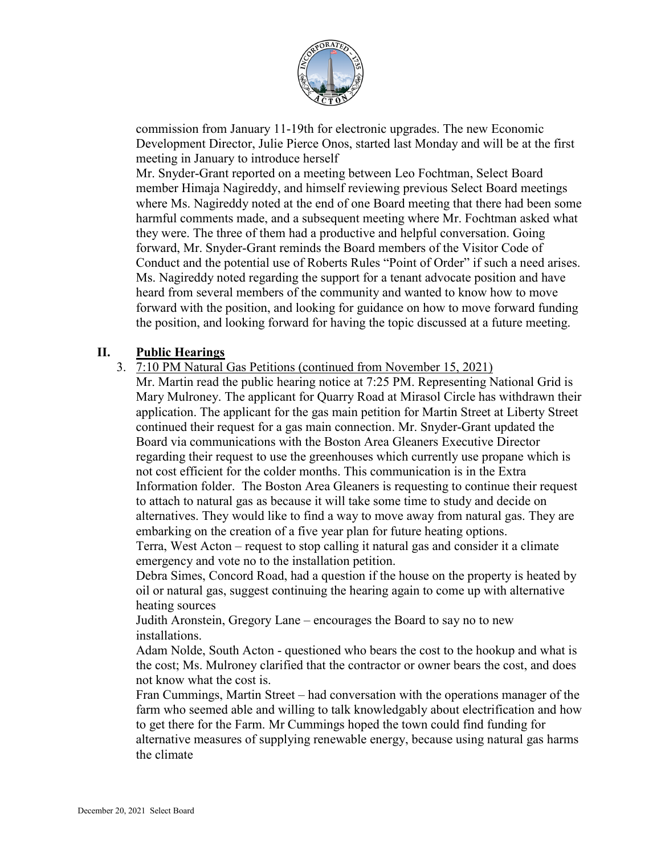

commission from January 11-19th for electronic upgrades. The new Economic Development Director, Julie Pierce Onos, started last Monday and will be at the first meeting in January to introduce herself

Mr. Snyder-Grant reported on a meeting between Leo Fochtman, Select Board member Himaja Nagireddy, and himself reviewing previous Select Board meetings where Ms. Nagireddy noted at the end of one Board meeting that there had been some harmful comments made, and a subsequent meeting where Mr. Fochtman asked what they were. The three of them had a productive and helpful conversation. Going forward, Mr. Snyder-Grant reminds the Board members of the Visitor Code of Conduct and the potential use of Roberts Rules "Point of Order" if such a need arises. Ms. Nagireddy noted regarding the support for a tenant advocate position and have heard from several members of the community and wanted to know how to move forward with the position, and looking for guidance on how to move forward funding the position, and looking forward for having the topic discussed at a future meeting.

## **II. Public Hearings**

3. 7:10 PM Natural Gas Petitions (continued from November 15, 2021)

Mr. Martin read the public hearing notice at 7:25 PM. Representing National Grid is Mary Mulroney. The applicant for Quarry Road at Mirasol Circle has withdrawn their application. The applicant for the gas main petition for Martin Street at Liberty Street continued their request for a gas main connection. Mr. Snyder-Grant updated the Board via communications with the Boston Area Gleaners Executive Director regarding their request to use the greenhouses which currently use propane which is not cost efficient for the colder months. This communication is in the Extra Information folder. The Boston Area Gleaners is requesting to continue their request to attach to natural gas as because it will take some time to study and decide on alternatives. They would like to find a way to move away from natural gas. They are embarking on the creation of a five year plan for future heating options.

Terra, West Acton – request to stop calling it natural gas and consider it a climate emergency and vote no to the installation petition.

Debra Simes, Concord Road, had a question if the house on the property is heated by oil or natural gas, suggest continuing the hearing again to come up with alternative heating sources

Judith Aronstein, Gregory Lane – encourages the Board to say no to new installations.

Adam Nolde, South Acton - questioned who bears the cost to the hookup and what is the cost; Ms. Mulroney clarified that the contractor or owner bears the cost, and does not know what the cost is.

Fran Cummings, Martin Street – had conversation with the operations manager of the farm who seemed able and willing to talk knowledgably about electrification and how to get there for the Farm. Mr Cummings hoped the town could find funding for alternative measures of supplying renewable energy, because using natural gas harms the climate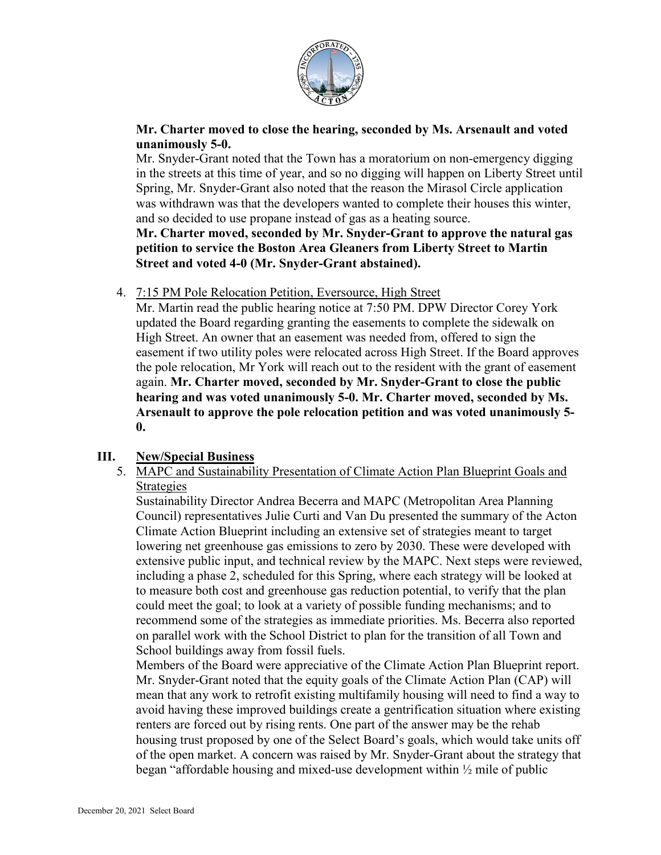

### **Mr. Charter moved to close the hearing, seconded by Ms. Arsenault and voted unanimously 5-0.**

Mr. Snyder-Grant noted that the Town has a moratorium on non-emergency digging in the streets at this time of year, and so no digging will happen on Liberty Street until Spring, Mr. Snyder-Grant also noted that the reason the Mirasol Circle application was withdrawn was that the developers wanted to complete their houses this winter, and so decided to use propane instead of gas as a heating source.

**Mr. Charter moved, seconded by Mr. Snyder-Grant to approve the natural gas petition to service the Boston Area Gleaners from Liberty Street to Martin Street and voted 4-0 (Mr. Snyder-Grant abstained).**

4. 7:15 PM Pole Relocation Petition, Eversource, High Street

Mr. Martin read the public hearing notice at 7:50 PM. DPW Director Corey York updated the Board regarding granting the easements to complete the sidewalk on High Street. An owner that an easement was needed from, offered to sign the easement if two utility poles were relocated across High Street. If the Board approves the pole relocation, Mr York will reach out to the resident with the grant of easement again. **Mr. Charter moved, seconded by Mr. Snyder-Grant to close the public hearing and was voted unanimously 5-0. Mr. Charter moved, seconded by Ms. Arsenault to approve the pole relocation petition and was voted unanimously 5- 0.**

# **III. New/Special Business**

5. MAPC and Sustainability Presentation of Climate Action Plan Blueprint Goals and Strategies

Sustainability Director Andrea Becerra and MAPC (Metropolitan Area Planning Council) representatives Julie Curti and Van Du presented the summary of the Acton Climate Action Blueprint including an extensive set of strategies meant to target lowering net greenhouse gas emissions to zero by 2030. These were developed with extensive public input, and technical review by the MAPC. Next steps were reviewed, including a phase 2, scheduled for this Spring, where each strategy will be looked at to measure both cost and greenhouse gas reduction potential, to verify that the plan could meet the goal; to look at a variety of possible funding mechanisms; and to recommend some of the strategies as immediate priorities. Ms. Becerra also reported on parallel work with the School District to plan for the transition of all Town and School buildings away from fossil fuels.

Members of the Board were appreciative of the Climate Action Plan Blueprint report. Mr. Snyder-Grant noted that the equity goals of the Climate Action Plan (CAP) will mean that any work to retrofit existing multifamily housing will need to find a way to avoid having these improved buildings create a gentrification situation where existing renters are forced out by rising rents. One part of the answer may be the rehab housing trust proposed by one of the Select Board's goals, which would take units off of the open market. A concern was raised by Mr. Snyder-Grant about the strategy that began "affordable housing and mixed-use development within ½ mile of public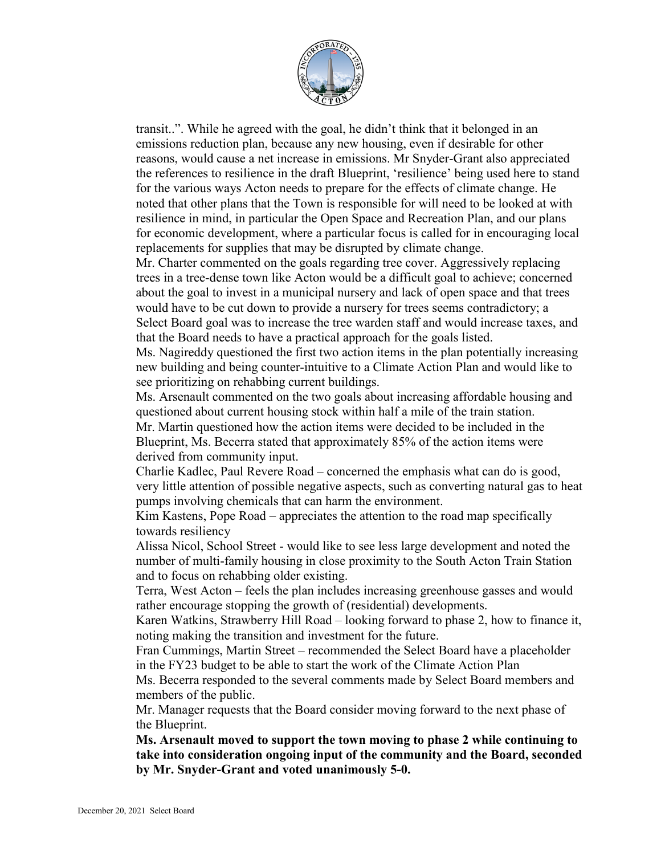

transit..". While he agreed with the goal, he didn't think that it belonged in an emissions reduction plan, because any new housing, even if desirable for other reasons, would cause a net increase in emissions. Mr Snyder-Grant also appreciated the references to resilience in the draft Blueprint, 'resilience' being used here to stand for the various ways Acton needs to prepare for the effects of climate change. He noted that other plans that the Town is responsible for will need to be looked at with resilience in mind, in particular the Open Space and Recreation Plan, and our plans for economic development, where a particular focus is called for in encouraging local replacements for supplies that may be disrupted by climate change.

Mr. Charter commented on the goals regarding tree cover. Aggressively replacing trees in a tree-dense town like Acton would be a difficult goal to achieve; concerned about the goal to invest in a municipal nursery and lack of open space and that trees would have to be cut down to provide a nursery for trees seems contradictory; a Select Board goal was to increase the tree warden staff and would increase taxes, and that the Board needs to have a practical approach for the goals listed.

Ms. Nagireddy questioned the first two action items in the plan potentially increasing new building and being counter-intuitive to a Climate Action Plan and would like to see prioritizing on rehabbing current buildings.

Ms. Arsenault commented on the two goals about increasing affordable housing and questioned about current housing stock within half a mile of the train station. Mr. Martin questioned how the action items were decided to be included in the Blueprint, Ms. Becerra stated that approximately 85% of the action items were derived from community input.

Charlie Kadlec, Paul Revere Road – concerned the emphasis what can do is good, very little attention of possible negative aspects, such as converting natural gas to heat pumps involving chemicals that can harm the environment.

Kim Kastens, Pope Road – appreciates the attention to the road map specifically towards resiliency

Alissa Nicol, School Street - would like to see less large development and noted the number of multi-family housing in close proximity to the South Acton Train Station and to focus on rehabbing older existing.

Terra, West Acton – feels the plan includes increasing greenhouse gasses and would rather encourage stopping the growth of (residential) developments.

Karen Watkins, Strawberry Hill Road – looking forward to phase 2, how to finance it, noting making the transition and investment for the future.

Fran Cummings, Martin Street – recommended the Select Board have a placeholder in the FY23 budget to be able to start the work of the Climate Action Plan

Ms. Becerra responded to the several comments made by Select Board members and members of the public.

Mr. Manager requests that the Board consider moving forward to the next phase of the Blueprint.

**Ms. Arsenault moved to support the town moving to phase 2 while continuing to take into consideration ongoing input of the community and the Board, seconded by Mr. Snyder-Grant and voted unanimously 5-0.**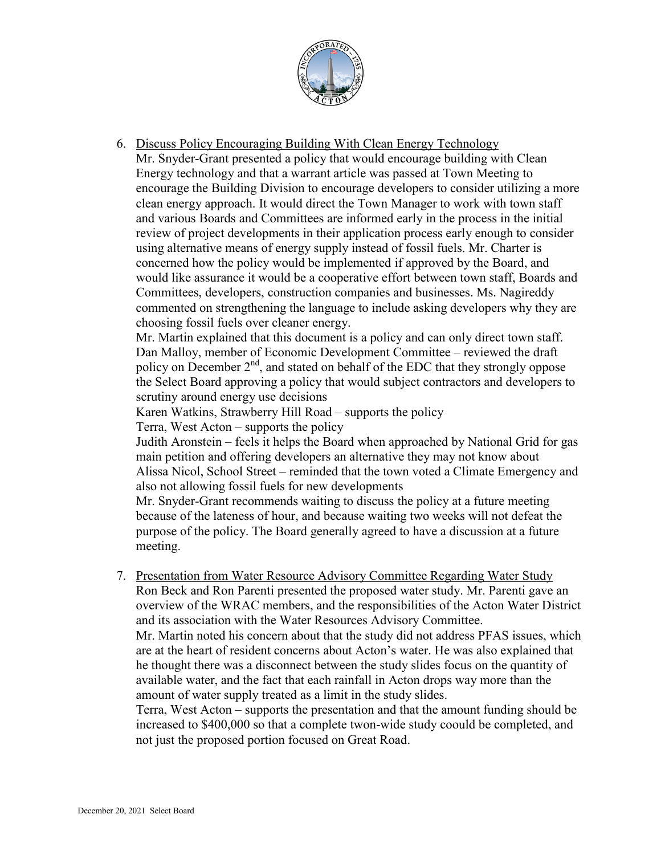

6. Discuss Policy Encouraging Building With Clean Energy Technology

Mr. Snyder-Grant presented a policy that would encourage building with Clean Energy technology and that a warrant article was passed at Town Meeting to encourage the Building Division to encourage developers to consider utilizing a more clean energy approach. It would direct the Town Manager to work with town staff and various Boards and Committees are informed early in the process in the initial review of project developments in their application process early enough to consider using alternative means of energy supply instead of fossil fuels. Mr. Charter is concerned how the policy would be implemented if approved by the Board, and would like assurance it would be a cooperative effort between town staff, Boards and Committees, developers, construction companies and businesses. Ms. Nagireddy commented on strengthening the language to include asking developers why they are choosing fossil fuels over cleaner energy.

Mr. Martin explained that this document is a policy and can only direct town staff. Dan Malloy, member of Economic Development Committee – reviewed the draft policy on December  $2<sup>nd</sup>$ , and stated on behalf of the EDC that they strongly oppose the Select Board approving a policy that would subject contractors and developers to scrutiny around energy use decisions

Karen Watkins, Strawberry Hill Road – supports the policy

Terra, West Acton – supports the policy

Judith Aronstein – feels it helps the Board when approached by National Grid for gas main petition and offering developers an alternative they may not know about Alissa Nicol, School Street – reminded that the town voted a Climate Emergency and also not allowing fossil fuels for new developments

Mr. Snyder-Grant recommends waiting to discuss the policy at a future meeting because of the lateness of hour, and because waiting two weeks will not defeat the purpose of the policy. The Board generally agreed to have a discussion at a future meeting.

7. Presentation from Water Resource Advisory Committee Regarding Water Study Ron Beck and Ron Parenti presented the proposed water study. Mr. Parenti gave an overview of the WRAC members, and the responsibilities of the Acton Water District and its association with the Water Resources Advisory Committee. Mr. Martin noted his concern about that the study did not address PFAS issues, which are at the heart of resident concerns about Acton's water. He was also explained that he thought there was a disconnect between the study slides focus on the quantity of available water, and the fact that each rainfall in Acton drops way more than the amount of water supply treated as a limit in the study slides.

Terra, West Acton – supports the presentation and that the amount funding should be increased to \$400,000 so that a complete twon-wide study coould be completed, and not just the proposed portion focused on Great Road.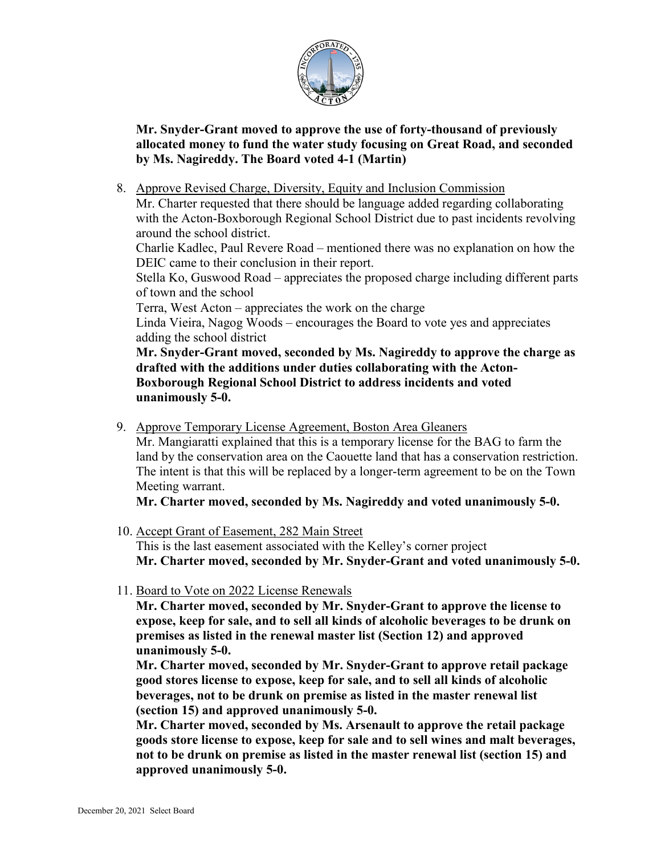

**Mr. Snyder-Grant moved to approve the use of forty-thousand of previously allocated money to fund the water study focusing on Great Road, and seconded by Ms. Nagireddy. The Board voted 4-1 (Martin)**

8. Approve Revised Charge, Diversity, Equity and Inclusion Commission

Mr. Charter requested that there should be language added regarding collaborating with the Acton-Boxborough Regional School District due to past incidents revolving around the school district.

Charlie Kadlec, Paul Revere Road – mentioned there was no explanation on how the DEIC came to their conclusion in their report.

Stella Ko, Guswood Road – appreciates the proposed charge including different parts of town and the school

Terra, West Acton – appreciates the work on the charge

Linda Vieira, Nagog Woods – encourages the Board to vote yes and appreciates adding the school district

**Mr. Snyder-Grant moved, seconded by Ms. Nagireddy to approve the charge as drafted with the additions under duties collaborating with the Acton-Boxborough Regional School District to address incidents and voted unanimously 5-0.**

9. Approve Temporary License Agreement, Boston Area Gleaners

Mr. Mangiaratti explained that this is a temporary license for the BAG to farm the land by the conservation area on the Caouette land that has a conservation restriction. The intent is that this will be replaced by a longer-term agreement to be on the Town Meeting warrant.

**Mr. Charter moved, seconded by Ms. Nagireddy and voted unanimously 5-0.**

- 10. Accept Grant of Easement, 282 Main Street This is the last easement associated with the Kelley's corner project **Mr. Charter moved, seconded by Mr. Snyder-Grant and voted unanimously 5-0.**
- 11. Board to Vote on 2022 License Renewals

**Mr. Charter moved, seconded by Mr. Snyder-Grant to approve the license to expose, keep for sale, and to sell all kinds of alcoholic beverages to be drunk on premises as listed in the renewal master list (Section 12) and approved unanimously 5-0.**

**Mr. Charter moved, seconded by Mr. Snyder-Grant to approve retail package good stores license to expose, keep for sale, and to sell all kinds of alcoholic beverages, not to be drunk on premise as listed in the master renewal list (section 15) and approved unanimously 5-0.**

**Mr. Charter moved, seconded by Ms. Arsenault to approve the retail package goods store license to expose, keep for sale and to sell wines and malt beverages, not to be drunk on premise as listed in the master renewal list (section 15) and approved unanimously 5-0.**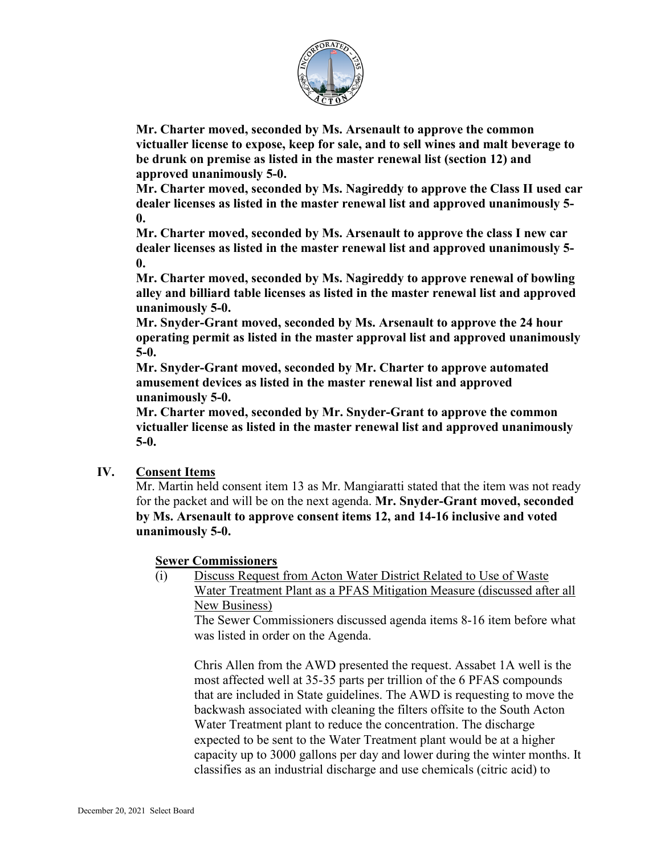

**Mr. Charter moved, seconded by Ms. Arsenault to approve the common victualler license to expose, keep for sale, and to sell wines and malt beverage to be drunk on premise as listed in the master renewal list (section 12) and approved unanimously 5-0.**

**Mr. Charter moved, seconded by Ms. Nagireddy to approve the Class II used car dealer licenses as listed in the master renewal list and approved unanimously 5- 0.**

**Mr. Charter moved, seconded by Ms. Arsenault to approve the class I new car dealer licenses as listed in the master renewal list and approved unanimously 5- 0.**

**Mr. Charter moved, seconded by Ms. Nagireddy to approve renewal of bowling alley and billiard table licenses as listed in the master renewal list and approved unanimously 5-0.**

**Mr. Snyder-Grant moved, seconded by Ms. Arsenault to approve the 24 hour operating permit as listed in the master approval list and approved unanimously 5-0.**

**Mr. Snyder-Grant moved, seconded by Mr. Charter to approve automated amusement devices as listed in the master renewal list and approved unanimously 5-0.**

**Mr. Charter moved, seconded by Mr. Snyder-Grant to approve the common victualler license as listed in the master renewal list and approved unanimously 5-0.**

# **IV. Consent Items**

Mr. Martin held consent item 13 as Mr. Mangiaratti stated that the item was not ready for the packet and will be on the next agenda. **Mr. Snyder-Grant moved, seconded by Ms. Arsenault to approve consent items 12, and 14-16 inclusive and voted unanimously 5-0.**

### **Sewer Commissioners**

(i) Discuss Request from Acton Water District Related to Use of Waste Water Treatment Plant as a PFAS Mitigation Measure (discussed after all New Business)

The Sewer Commissioners discussed agenda items 8-16 item before what was listed in order on the Agenda.

Chris Allen from the AWD presented the request. Assabet 1A well is the most affected well at 35-35 parts per trillion of the 6 PFAS compounds that are included in State guidelines. The AWD is requesting to move the backwash associated with cleaning the filters offsite to the South Acton Water Treatment plant to reduce the concentration. The discharge expected to be sent to the Water Treatment plant would be at a higher capacity up to 3000 gallons per day and lower during the winter months. It classifies as an industrial discharge and use chemicals (citric acid) to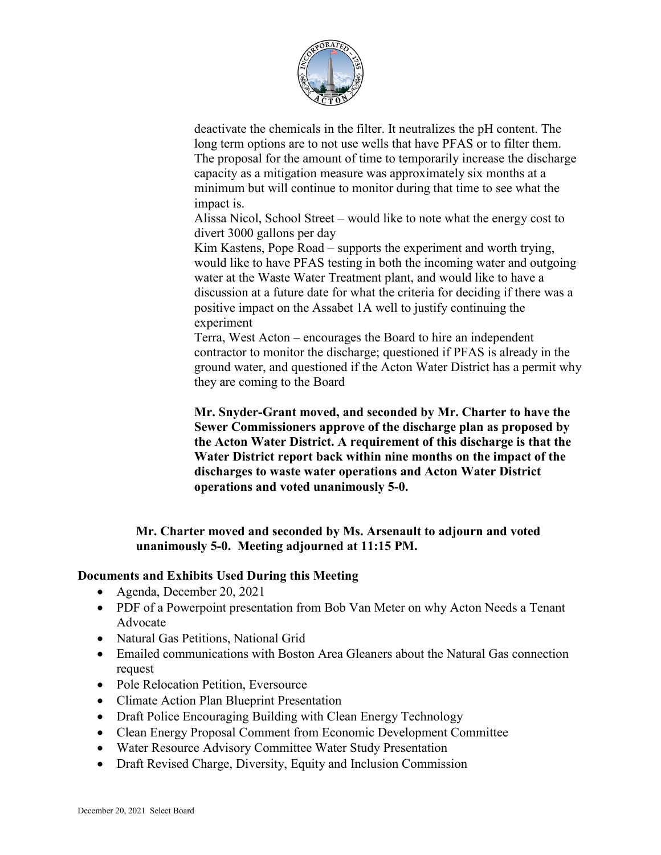

deactivate the chemicals in the filter. It neutralizes the pH content. The long term options are to not use wells that have PFAS or to filter them. The proposal for the amount of time to temporarily increase the discharge capacity as a mitigation measure was approximately six months at a minimum but will continue to monitor during that time to see what the impact is.

Alissa Nicol, School Street – would like to note what the energy cost to divert 3000 gallons per day

Kim Kastens, Pope Road – supports the experiment and worth trying, would like to have PFAS testing in both the incoming water and outgoing water at the Waste Water Treatment plant, and would like to have a discussion at a future date for what the criteria for deciding if there was a positive impact on the Assabet 1A well to justify continuing the experiment

Terra, West Acton – encourages the Board to hire an independent contractor to monitor the discharge; questioned if PFAS is already in the ground water, and questioned if the Acton Water District has a permit why they are coming to the Board

**Mr. Snyder-Grant moved, and seconded by Mr. Charter to have the Sewer Commissioners approve of the discharge plan as proposed by the Acton Water District. A requirement of this discharge is that the Water District report back within nine months on the impact of the discharges to waste water operations and Acton Water District operations and voted unanimously 5-0.**

**Mr. Charter moved and seconded by Ms. Arsenault to adjourn and voted unanimously 5-0. Meeting adjourned at 11:15 PM.**

#### **Documents and Exhibits Used During this Meeting**

- Agenda, December 20, 2021
- PDF of a Powerpoint presentation from Bob Van Meter on why Acton Needs a Tenant Advocate
- Natural Gas Petitions, National Grid
- Emailed communications with Boston Area Gleaners about the Natural Gas connection request
- Pole Relocation Petition, Eversource
- Climate Action Plan Blueprint Presentation
- Draft Police Encouraging Building with Clean Energy Technology
- Clean Energy Proposal Comment from Economic Development Committee
- Water Resource Advisory Committee Water Study Presentation
- Draft Revised Charge, Diversity, Equity and Inclusion Commission